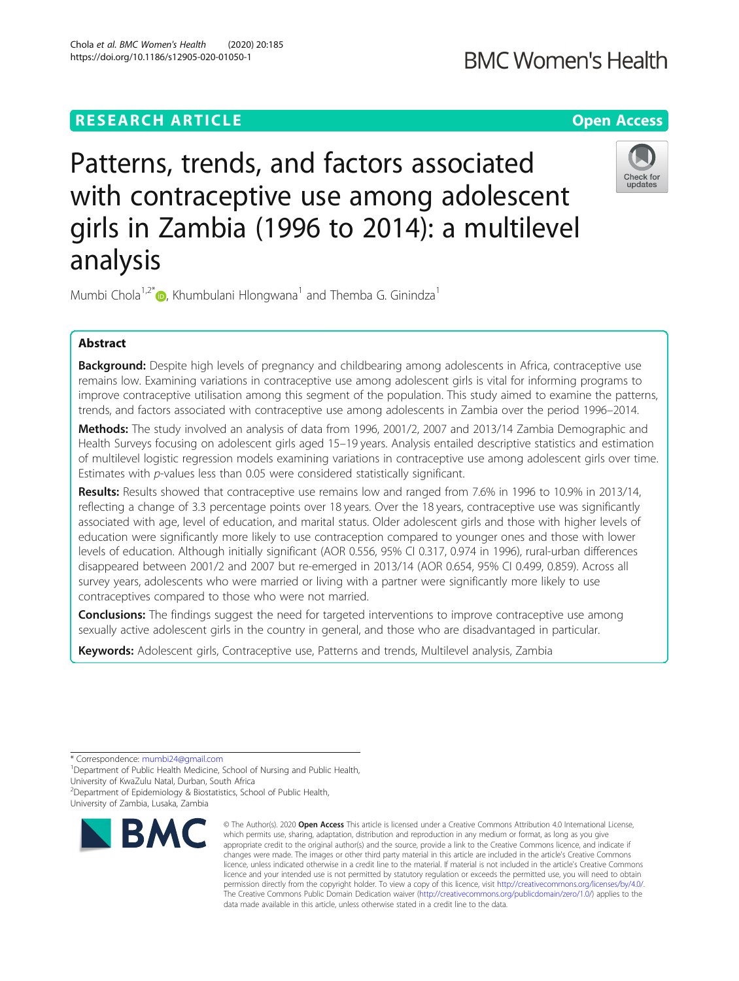# **BMC Women's Health**

# **RESEARCH ARTICLE Example 2014 12:30 The Contract of Contract ACCESS**

# Patterns, trends, and factors associated with contraceptive use among adolescent girls in Zambia (1996 to 2014): a multilevel analysis



Mumbi Chola<sup>1,2[\\*](http://orcid.org/0000-0002-6488-113X)</sup>  $\bullet$ , Khumbulani Hlongwana<sup>1</sup> and Themba G. Ginindza<sup>1</sup>

# Abstract

Background: Despite high levels of pregnancy and childbearing among adolescents in Africa, contraceptive use remains low. Examining variations in contraceptive use among adolescent girls is vital for informing programs to improve contraceptive utilisation among this segment of the population. This study aimed to examine the patterns, trends, and factors associated with contraceptive use among adolescents in Zambia over the period 1996–2014.

Methods: The study involved an analysis of data from 1996, 2001/2, 2007 and 2013/14 Zambia Demographic and Health Surveys focusing on adolescent girls aged 15–19 years. Analysis entailed descriptive statistics and estimation of multilevel logistic regression models examining variations in contraceptive use among adolescent girls over time. Estimates with p-values less than 0.05 were considered statistically significant.

Results: Results showed that contraceptive use remains low and ranged from 7.6% in 1996 to 10.9% in 2013/14, reflecting a change of 3.3 percentage points over 18 years. Over the 18 years, contraceptive use was significantly associated with age, level of education, and marital status. Older adolescent girls and those with higher levels of education were significantly more likely to use contraception compared to younger ones and those with lower levels of education. Although initially significant (AOR 0.556, 95% CI 0.317, 0.974 in 1996), rural-urban differences disappeared between 2001/2 and 2007 but re-emerged in 2013/14 (AOR 0.654, 95% CI 0.499, 0.859). Across all survey years, adolescents who were married or living with a partner were significantly more likely to use contraceptives compared to those who were not married.

**Conclusions:** The findings suggest the need for targeted interventions to improve contraceptive use among sexually active adolescent girls in the country in general, and those who are disadvantaged in particular.

Keywords: Adolescent girls, Contraceptive use, Patterns and trends, Multilevel analysis, Zambia

<sup>2</sup> Department of Epidemiology & Biostatistics, School of Public Health, University of Zambia, Lusaka, Zambia



<sup>©</sup> The Author(s), 2020 **Open Access** This article is licensed under a Creative Commons Attribution 4.0 International License, which permits use, sharing, adaptation, distribution and reproduction in any medium or format, as long as you give appropriate credit to the original author(s) and the source, provide a link to the Creative Commons licence, and indicate if changes were made. The images or other third party material in this article are included in the article's Creative Commons licence, unless indicated otherwise in a credit line to the material. If material is not included in the article's Creative Commons licence and your intended use is not permitted by statutory regulation or exceeds the permitted use, you will need to obtain permission directly from the copyright holder. To view a copy of this licence, visit [http://creativecommons.org/licenses/by/4.0/.](http://creativecommons.org/licenses/by/4.0/) The Creative Commons Public Domain Dedication waiver [\(http://creativecommons.org/publicdomain/zero/1.0/](http://creativecommons.org/publicdomain/zero/1.0/)) applies to the data made available in this article, unless otherwise stated in a credit line to the data.

<sup>\*</sup> Correspondence: [mumbi24@gmail.com](mailto:mumbi24@gmail.com) <sup>1</sup>

<sup>&</sup>lt;sup>1</sup>Department of Public Health Medicine, School of Nursing and Public Health, University of KwaZulu Natal, Durban, South Africa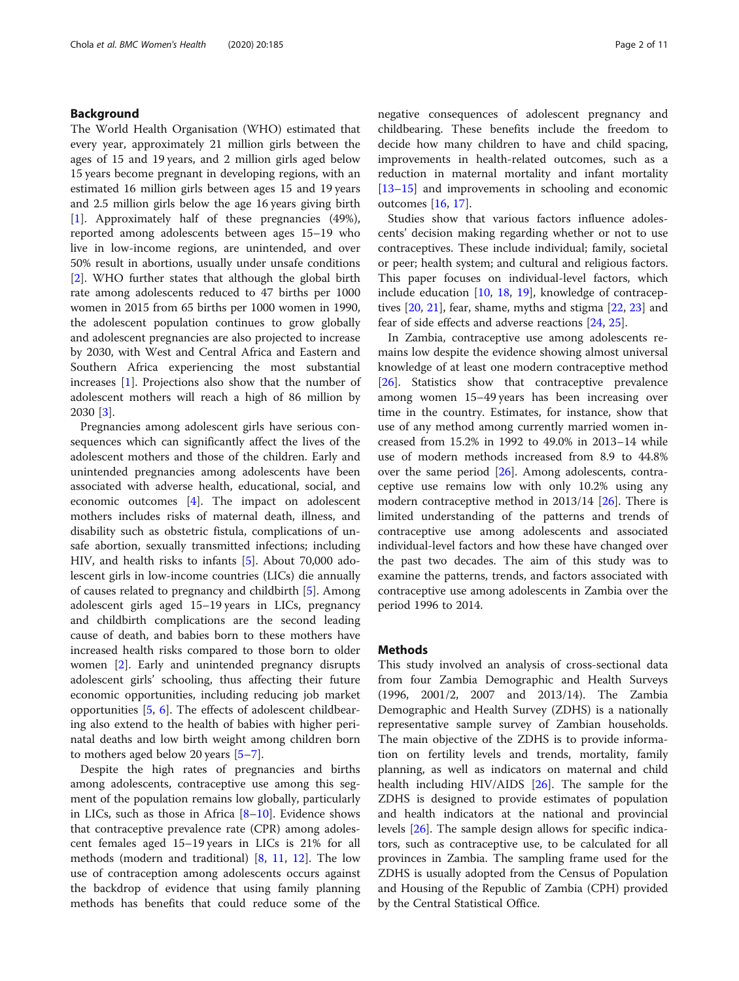# Background

The World Health Organisation (WHO) estimated that every year, approximately 21 million girls between the ages of 15 and 19 years, and 2 million girls aged below 15 years become pregnant in developing regions, with an estimated 16 million girls between ages 15 and 19 years and 2.5 million girls below the age 16 years giving birth [[1\]](#page-9-0). Approximately half of these pregnancies (49%), reported among adolescents between ages 15–19 who live in low-income regions, are unintended, and over 50% result in abortions, usually under unsafe conditions [[2\]](#page-9-0). WHO further states that although the global birth rate among adolescents reduced to 47 births per 1000 women in 2015 from 65 births per 1000 women in 1990, the adolescent population continues to grow globally and adolescent pregnancies are also projected to increase by 2030, with West and Central Africa and Eastern and Southern Africa experiencing the most substantial increases [[1\]](#page-9-0). Projections also show that the number of adolescent mothers will reach a high of 86 million by 2030 [\[3](#page-9-0)].

Pregnancies among adolescent girls have serious consequences which can significantly affect the lives of the adolescent mothers and those of the children. Early and unintended pregnancies among adolescents have been associated with adverse health, educational, social, and economic outcomes [[4](#page-9-0)]. The impact on adolescent mothers includes risks of maternal death, illness, and disability such as obstetric fistula, complications of unsafe abortion, sexually transmitted infections; including HIV, and health risks to infants [[5\]](#page-9-0). About 70,000 adolescent girls in low-income countries (LICs) die annually of causes related to pregnancy and childbirth [\[5\]](#page-9-0). Among adolescent girls aged 15–19 years in LICs, pregnancy and childbirth complications are the second leading cause of death, and babies born to these mothers have increased health risks compared to those born to older women [\[2](#page-9-0)]. Early and unintended pregnancy disrupts adolescent girls' schooling, thus affecting their future economic opportunities, including reducing job market opportunities [\[5,](#page-9-0) [6\]](#page-9-0). The effects of adolescent childbearing also extend to the health of babies with higher perinatal deaths and low birth weight among children born to mothers aged below 20 years [[5](#page-9-0)–[7](#page-9-0)].

Despite the high rates of pregnancies and births among adolescents, contraceptive use among this segment of the population remains low globally, particularly in LICs, such as those in Africa  $[8-10]$  $[8-10]$  $[8-10]$ . Evidence shows that contraceptive prevalence rate (CPR) among adolescent females aged 15–19 years in LICs is 21% for all methods (modern and traditional) [\[8](#page-9-0), [11](#page-9-0), [12\]](#page-9-0). The low use of contraception among adolescents occurs against the backdrop of evidence that using family planning methods has benefits that could reduce some of the negative consequences of adolescent pregnancy and childbearing. These benefits include the freedom to decide how many children to have and child spacing, improvements in health-related outcomes, such as a reduction in maternal mortality and infant mortality [[13](#page-9-0)–[15](#page-9-0)] and improvements in schooling and economic outcomes [\[16](#page-10-0), [17](#page-10-0)].

Studies show that various factors influence adolescents' decision making regarding whether or not to use contraceptives. These include individual; family, societal or peer; health system; and cultural and religious factors. This paper focuses on individual-level factors, which include education  $[10, 18, 19]$  $[10, 18, 19]$  $[10, 18, 19]$  $[10, 18, 19]$  $[10, 18, 19]$ , knowledge of contraceptives [\[20](#page-10-0), [21\]](#page-10-0), fear, shame, myths and stigma [[22](#page-10-0), [23](#page-10-0)] and fear of side effects and adverse reactions [[24,](#page-10-0) [25\]](#page-10-0).

In Zambia, contraceptive use among adolescents remains low despite the evidence showing almost universal knowledge of at least one modern contraceptive method [[26\]](#page-10-0). Statistics show that contraceptive prevalence among women 15–49 years has been increasing over time in the country. Estimates, for instance, show that use of any method among currently married women increased from 15.2% in 1992 to 49.0% in 2013–14 while use of modern methods increased from 8.9 to 44.8% over the same period [\[26\]](#page-10-0). Among adolescents, contraceptive use remains low with only 10.2% using any modern contraceptive method in 2013/14 [\[26](#page-10-0)]. There is limited understanding of the patterns and trends of contraceptive use among adolescents and associated individual-level factors and how these have changed over the past two decades. The aim of this study was to examine the patterns, trends, and factors associated with contraceptive use among adolescents in Zambia over the period 1996 to 2014.

# Methods

This study involved an analysis of cross-sectional data from four Zambia Demographic and Health Surveys (1996, 2001/2, 2007 and 2013/14). The Zambia Demographic and Health Survey (ZDHS) is a nationally representative sample survey of Zambian households. The main objective of the ZDHS is to provide information on fertility levels and trends, mortality, family planning, as well as indicators on maternal and child health including HIV/AIDS [[26](#page-10-0)]. The sample for the ZDHS is designed to provide estimates of population and health indicators at the national and provincial levels [\[26](#page-10-0)]. The sample design allows for specific indicators, such as contraceptive use, to be calculated for all provinces in Zambia. The sampling frame used for the ZDHS is usually adopted from the Census of Population and Housing of the Republic of Zambia (CPH) provided by the Central Statistical Office.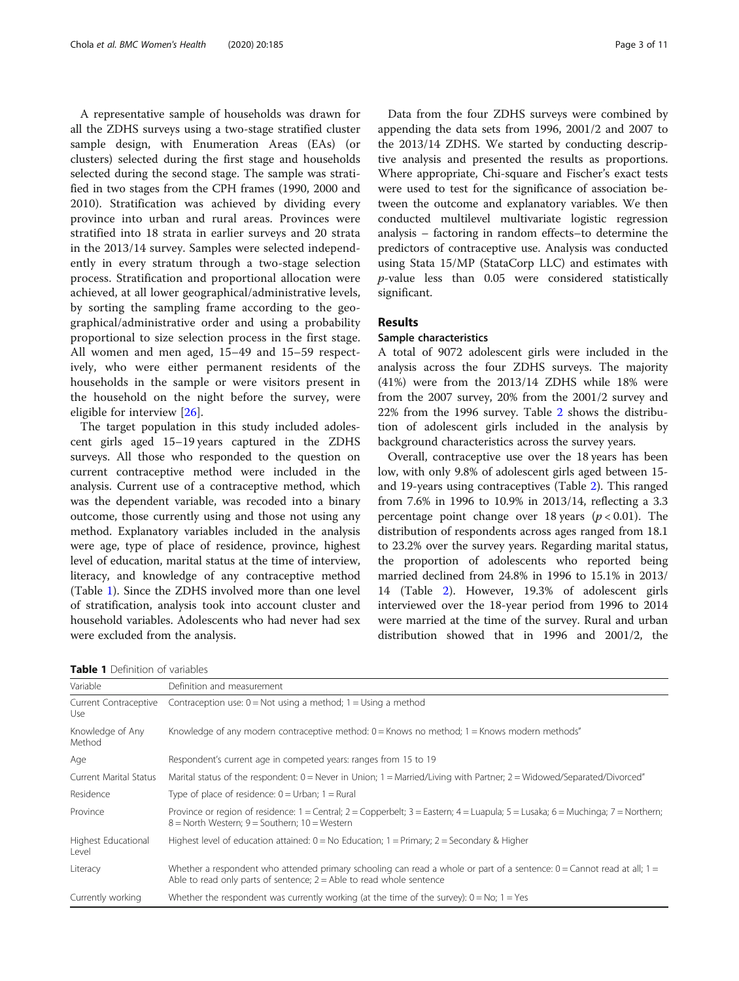A representative sample of households was drawn for all the ZDHS surveys using a two-stage stratified cluster sample design, with Enumeration Areas (EAs) (or clusters) selected during the first stage and households selected during the second stage. The sample was stratified in two stages from the CPH frames (1990, 2000 and 2010). Stratification was achieved by dividing every province into urban and rural areas. Provinces were stratified into 18 strata in earlier surveys and 20 strata in the 2013/14 survey. Samples were selected independently in every stratum through a two-stage selection process. Stratification and proportional allocation were achieved, at all lower geographical/administrative levels, by sorting the sampling frame according to the geographical/administrative order and using a probability proportional to size selection process in the first stage. All women and men aged, 15–49 and 15–59 respectively, who were either permanent residents of the households in the sample or were visitors present in the household on the night before the survey, were eligible for interview [[26\]](#page-10-0).

The target population in this study included adolescent girls aged 15–19 years captured in the ZDHS surveys. All those who responded to the question on current contraceptive method were included in the analysis. Current use of a contraceptive method, which was the dependent variable, was recoded into a binary outcome, those currently using and those not using any method. Explanatory variables included in the analysis were age, type of place of residence, province, highest level of education, marital status at the time of interview, literacy, and knowledge of any contraceptive method (Table 1). Since the ZDHS involved more than one level of stratification, analysis took into account cluster and household variables. Adolescents who had never had sex were excluded from the analysis.

Table 1 Definition of variables

Data from the four ZDHS surveys were combined by appending the data sets from 1996, 2001/2 and 2007 to the 2013/14 ZDHS. We started by conducting descriptive analysis and presented the results as proportions. Where appropriate, Chi-square and Fischer's exact tests were used to test for the significance of association between the outcome and explanatory variables. We then conducted multilevel multivariate logistic regression analysis – factoring in random effects–to determine the predictors of contraceptive use. Analysis was conducted using Stata 15/MP (StataCorp LLC) and estimates with p-value less than 0.05 were considered statistically significant.

# Results

# Sample characteristics

A total of 9072 adolescent girls were included in the analysis across the four ZDHS surveys. The majority (41%) were from the 2013/14 ZDHS while 18% were from the 2007 survey, 20% from the 2001/2 survey and 22% from the 1996 survey. Table [2](#page-3-0) shows the distribution of adolescent girls included in the analysis by background characteristics across the survey years.

Overall, contraceptive use over the 18 years has been low, with only 9.8% of adolescent girls aged between 15 and 19-years using contraceptives (Table [2\)](#page-3-0). This ranged from 7.6% in 1996 to 10.9% in 2013/14, reflecting a 3.3 percentage point change over 18 years ( $p < 0.01$ ). The distribution of respondents across ages ranged from 18.1 to 23.2% over the survey years. Regarding marital status, the proportion of adolescents who reported being married declined from 24.8% in 1996 to 15.1% in 2013/ 14 (Table [2\)](#page-3-0). However, 19.3% of adolescent girls interviewed over the 18-year period from 1996 to 2014 were married at the time of the survey. Rural and urban distribution showed that in 1996 and 2001/2, the

| Variable                            | Definition and measurement                                                                                                                                                                            |
|-------------------------------------|-------------------------------------------------------------------------------------------------------------------------------------------------------------------------------------------------------|
| <b>Current Contraceptive</b><br>Use | Contraception use: $0 = Not$ using a method; $1 = Using$ a method                                                                                                                                     |
| Knowledge of Any<br>Method          | Knowledge of any modern contraceptive method: $0 =$ Knows no method; $1 =$ Knows modern methods"                                                                                                      |
| Age                                 | Respondent's current age in competed years: ranges from 15 to 19                                                                                                                                      |
| <b>Current Marital Status</b>       | Marital status of the respondent: $0 =$ Never in Union; $1 =$ Married/Living with Partner; $2 =$ Widowed/Separated/Divorced"                                                                          |
| Residence                           | Type of place of residence: $0 =$ Urban; $1 =$ Rural                                                                                                                                                  |
| Province                            | Province or region of residence: $1 =$ Central; $2 =$ Copperbelt; $3 =$ Eastern; $4 =$ Luapula; $5 =$ Lusaka; $6 =$ Muchinga; $7 =$ Northern;<br>$8 =$ North Western: $9 =$ Southern: $10 =$ Western  |
| Highest Educational<br>Level        | Highest level of education attained: $0 = No$ Education; $1 = Pr($ mary; $2 = Secondary & Higher$                                                                                                     |
| Literacy                            | Whether a respondent who attended primary schooling can read a whole or part of a sentence: $0 =$ Cannot read at all; $1 =$<br>Able to read only parts of sentence; $2 =$ Able to read whole sentence |
| Currently working                   | Whether the respondent was currently working (at the time of the survey): $0 = No$ ; $1 = Yes$                                                                                                        |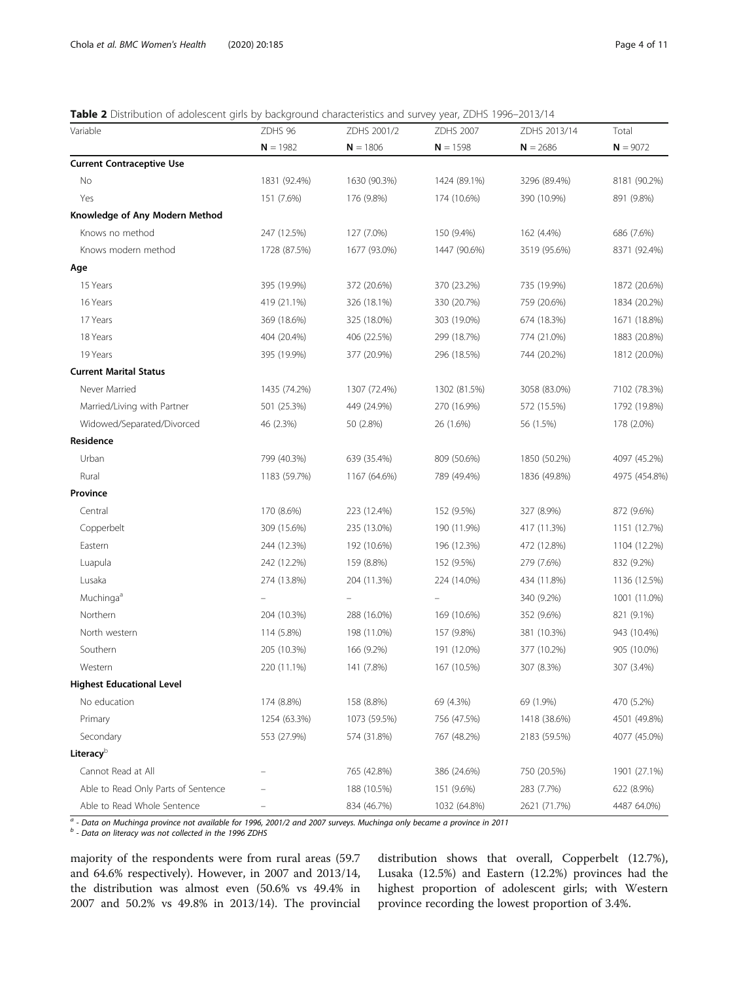<span id="page-3-0"></span>Table 2 Distribution of adolescent girls by background characteristics and survey year, ZDHS 1996–2013/14

| Variable                            | ZDHS 96      | ZDHS 2001/2  | <b>ZDHS 2007</b> | ZDHS 2013/14 | Total         |  |
|-------------------------------------|--------------|--------------|------------------|--------------|---------------|--|
|                                     | $N = 1982$   | $N = 1806$   | $N = 1598$       | $N = 2686$   | $N = 9072$    |  |
| <b>Current Contraceptive Use</b>    |              |              |                  |              |               |  |
| No                                  | 1831 (92.4%) | 1630 (90.3%) | 1424 (89.1%)     | 3296 (89.4%) | 8181 (90.2%)  |  |
| Yes                                 | 151 (7.6%)   | 176 (9.8%)   | 174 (10.6%)      | 390 (10.9%)  | 891 (9.8%)    |  |
| Knowledge of Any Modern Method      |              |              |                  |              |               |  |
| Knows no method                     | 247 (12.5%)  | 127 (7.0%)   | 150 (9.4%)       | 162 (4.4%)   | 686 (7.6%)    |  |
| Knows modern method                 | 1728 (87.5%) | 1677 (93.0%) | 1447 (90.6%)     | 3519 (95.6%) | 8371 (92.4%)  |  |
| Age                                 |              |              |                  |              |               |  |
| 15 Years                            | 395 (19.9%)  | 372 (20.6%)  | 370 (23.2%)      | 735 (19.9%)  | 1872 (20.6%)  |  |
| 16 Years                            | 419 (21.1%)  | 326 (18.1%)  | 330 (20.7%)      | 759 (20.6%)  | 1834 (20.2%)  |  |
| 17 Years                            | 369 (18.6%)  | 325 (18.0%)  | 303 (19.0%)      | 674 (18.3%)  | 1671 (18.8%)  |  |
| 18 Years                            | 404 (20.4%)  | 406 (22.5%)  | 299 (18.7%)      | 774 (21.0%)  | 1883 (20.8%)  |  |
| 19 Years                            | 395 (19.9%)  | 377 (20.9%)  | 296 (18.5%)      | 744 (20.2%)  | 1812 (20.0%)  |  |
| <b>Current Marital Status</b>       |              |              |                  |              |               |  |
| Never Married                       | 1435 (74.2%) | 1307 (72.4%) | 1302 (81.5%)     | 3058 (83.0%) | 7102 (78.3%)  |  |
| Married/Living with Partner         | 501 (25.3%)  | 449 (24.9%)  | 270 (16.9%)      | 572 (15.5%)  | 1792 (19.8%)  |  |
| Widowed/Separated/Divorced          | 46 (2.3%)    | 50 (2.8%)    | 26 (1.6%)        | 56 (1.5%)    | 178 (2.0%)    |  |
| Residence                           |              |              |                  |              |               |  |
| Urban                               | 799 (40.3%)  | 639 (35.4%)  | 809 (50.6%)      | 1850 (50.2%) | 4097 (45.2%)  |  |
| Rural                               | 1183 (59.7%) | 1167 (64.6%) | 789 (49.4%)      | 1836 (49.8%) | 4975 (454.8%) |  |
| Province                            |              |              |                  |              |               |  |
| Central                             | 170 (8.6%)   | 223 (12.4%)  | 152 (9.5%)       | 327 (8.9%)   | 872 (9.6%)    |  |
| Copperbelt                          | 309 (15.6%)  | 235 (13.0%)  | 190 (11.9%)      | 417 (11.3%)  | 1151 (12.7%)  |  |
| Eastern                             | 244 (12.3%)  | 192 (10.6%)  | 196 (12.3%)      | 472 (12.8%)  | 1104 (12.2%)  |  |
| Luapula                             | 242 (12.2%)  | 159 (8.8%)   | 152 (9.5%)       | 279 (7.6%)   | 832 (9.2%)    |  |
| Lusaka                              | 274 (13.8%)  | 204 (11.3%)  | 224 (14.0%)      | 434 (11.8%)  | 1136 (12.5%)  |  |
| Muchinga <sup>a</sup>               |              |              |                  | 340 (9.2%)   | 1001 (11.0%)  |  |
| Northern                            | 204 (10.3%)  | 288 (16.0%)  | 169 (10.6%)      | 352 (9.6%)   | 821 (9.1%)    |  |
| North western                       | 114 (5.8%)   | 198 (11.0%)  | 157 (9.8%)       | 381 (10.3%)  | 943 (10.4%)   |  |
| Southern                            | 205 (10.3%)  | 166 (9.2%)   | 191 (12.0%)      | 377 (10.2%)  | 905 (10.0%)   |  |
| Western                             | 220 (11.1%)  | 141 (7.8%)   | 167 (10.5%)      | 307 (8.3%)   | 307 (3.4%)    |  |
| <b>Highest Educational Level</b>    |              |              |                  |              |               |  |
| No education                        | 174 (8.8%)   | 158 (8.8%)   | 69 (4.3%)        | 69 (1.9%)    | 470 (5.2%)    |  |
| Primary                             | 1254 (63.3%) | 1073 (59.5%) | 756 (47.5%)      | 1418 (38.6%) | 4501 (49.8%)  |  |
| Secondary                           | 553 (27.9%)  | 574 (31.8%)  | 767 (48.2%)      | 2183 (59.5%) | 4077 (45.0%)  |  |
| Literacy <sup>b</sup>               |              |              |                  |              |               |  |
| Cannot Read at All                  |              | 765 (42.8%)  | 386 (24.6%)      | 750 (20.5%)  | 1901 (27.1%)  |  |
| Able to Read Only Parts of Sentence |              | 188 (10.5%)  | 151 (9.6%)       | 283 (7.7%)   | 622 (8.9%)    |  |
| Able to Read Whole Sentence         |              | 834 (46.7%)  | 1032 (64.8%)     | 2621 (71.7%) | 4487 64.0%)   |  |

 $a$  - Data on Muchinga province not available for 1996, 2001/2 and 2007 surveys. Muchinga only became a province in 2011

b - Data on literacy was not collected in the 1996 ZDHS

majority of the respondents were from rural areas (59.7 and 64.6% respectively). However, in 2007 and 2013/14, the distribution was almost even (50.6% vs 49.4% in 2007 and 50.2% vs 49.8% in 2013/14). The provincial distribution shows that overall, Copperbelt (12.7%), Lusaka (12.5%) and Eastern (12.2%) provinces had the highest proportion of adolescent girls; with Western province recording the lowest proportion of 3.4%.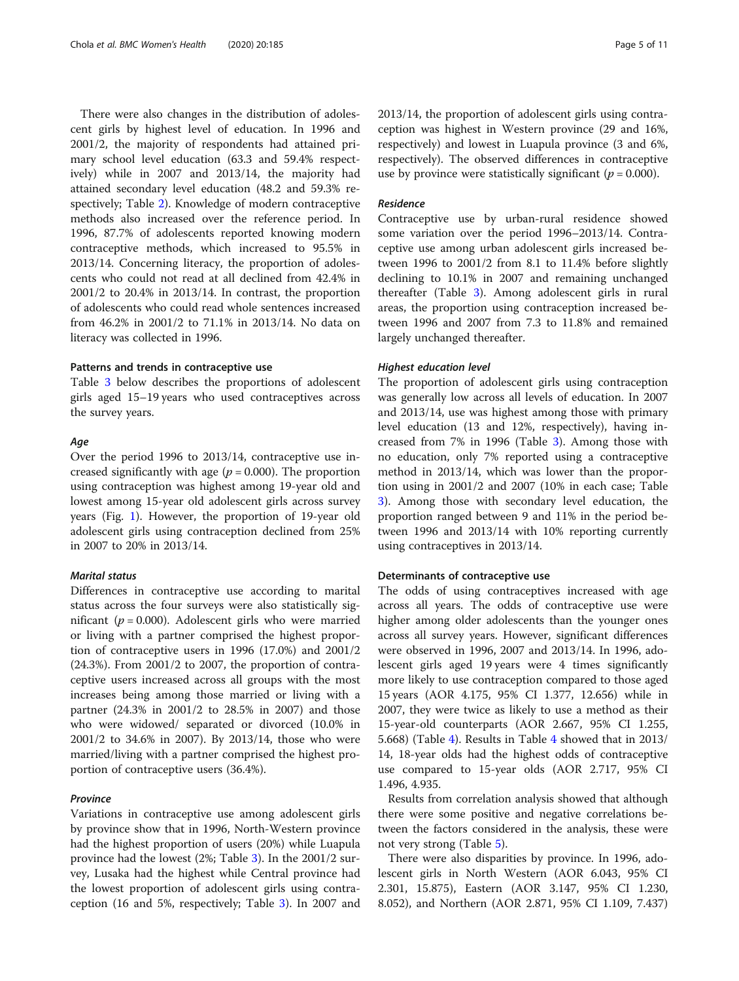There were also changes in the distribution of adolescent girls by highest level of education. In 1996 and 2001/2, the majority of respondents had attained primary school level education (63.3 and 59.4% respectively) while in 2007 and 2013/14, the majority had attained secondary level education (48.2 and 59.3% respectively; Table [2](#page-3-0)). Knowledge of modern contraceptive methods also increased over the reference period. In 1996, 87.7% of adolescents reported knowing modern contraceptive methods, which increased to 95.5% in 2013/14. Concerning literacy, the proportion of adolescents who could not read at all declined from 42.4% in 2001/2 to 20.4% in 2013/14. In contrast, the proportion of adolescents who could read whole sentences increased from 46.2% in 2001/2 to 71.1% in 2013/14. No data on literacy was collected in 1996.

# Patterns and trends in contraceptive use

Table [3](#page-5-0) below describes the proportions of adolescent girls aged 15–19 years who used contraceptives across the survey years.

## Age

Over the period 1996 to 2013/14, contraceptive use increased significantly with age ( $p = 0.000$ ). The proportion using contraception was highest among 19-year old and lowest among 15-year old adolescent girls across survey years (Fig. [1\)](#page-6-0). However, the proportion of 19-year old adolescent girls using contraception declined from 25% in 2007 to 20% in 2013/14.

# Marital status

Differences in contraceptive use according to marital status across the four surveys were also statistically significant ( $p = 0.000$ ). Adolescent girls who were married or living with a partner comprised the highest proportion of contraceptive users in 1996 (17.0%) and 2001/2 (24.3%). From 2001/2 to 2007, the proportion of contraceptive users increased across all groups with the most increases being among those married or living with a partner (24.3% in 2001/2 to 28.5% in 2007) and those who were widowed/ separated or divorced (10.0% in 2001/2 to 34.6% in 2007). By 2013/14, those who were married/living with a partner comprised the highest proportion of contraceptive users (36.4%).

# Province

Variations in contraceptive use among adolescent girls by province show that in 1996, North-Western province had the highest proportion of users (20%) while Luapula province had the lowest (2%; Table [3\)](#page-5-0). In the 2001/2 survey, Lusaka had the highest while Central province had the lowest proportion of adolescent girls using contraception (16 and 5%, respectively; Table [3](#page-5-0)). In 2007 and 2013/14, the proportion of adolescent girls using contraception was highest in Western province (29 and 16%, respectively) and lowest in Luapula province (3 and 6%, respectively). The observed differences in contraceptive use by province were statistically significant ( $p = 0.000$ ).

# Residence

Contraceptive use by urban-rural residence showed some variation over the period 1996–2013/14. Contraceptive use among urban adolescent girls increased between 1996 to 2001/2 from 8.1 to 11.4% before slightly declining to 10.1% in 2007 and remaining unchanged thereafter (Table [3\)](#page-5-0). Among adolescent girls in rural areas, the proportion using contraception increased between 1996 and 2007 from 7.3 to 11.8% and remained largely unchanged thereafter.

# Highest education level

The proportion of adolescent girls using contraception was generally low across all levels of education. In 2007 and 2013/14, use was highest among those with primary level education (13 and 12%, respectively), having increased from 7% in 1996 (Table [3\)](#page-5-0). Among those with no education, only 7% reported using a contraceptive method in 2013/14, which was lower than the proportion using in 2001/2 and 2007 (10% in each case; Table [3\)](#page-5-0). Among those with secondary level education, the proportion ranged between 9 and 11% in the period between 1996 and 2013/14 with 10% reporting currently using contraceptives in 2013/14.

# Determinants of contraceptive use

The odds of using contraceptives increased with age across all years. The odds of contraceptive use were higher among older adolescents than the younger ones across all survey years. However, significant differences were observed in 1996, 2007 and 2013/14. In 1996, adolescent girls aged 19 years were 4 times significantly more likely to use contraception compared to those aged 15 years (AOR 4.175, 95% CI 1.377, 12.656) while in 2007, they were twice as likely to use a method as their 15-year-old counterparts (AOR 2.667, 95% CI 1.255, 5.668) (Table [4\)](#page-7-0). Results in Table [4](#page-7-0) showed that in 2013/ 14, 18-year olds had the highest odds of contraceptive use compared to 15-year olds (AOR 2.717, 95% CI 1.496, 4.935.

Results from correlation analysis showed that although there were some positive and negative correlations between the factors considered in the analysis, these were not very strong (Table [5](#page-8-0)).

There were also disparities by province. In 1996, adolescent girls in North Western (AOR 6.043, 95% CI 2.301, 15.875), Eastern (AOR 3.147, 95% CI 1.230, 8.052), and Northern (AOR 2.871, 95% CI 1.109, 7.437)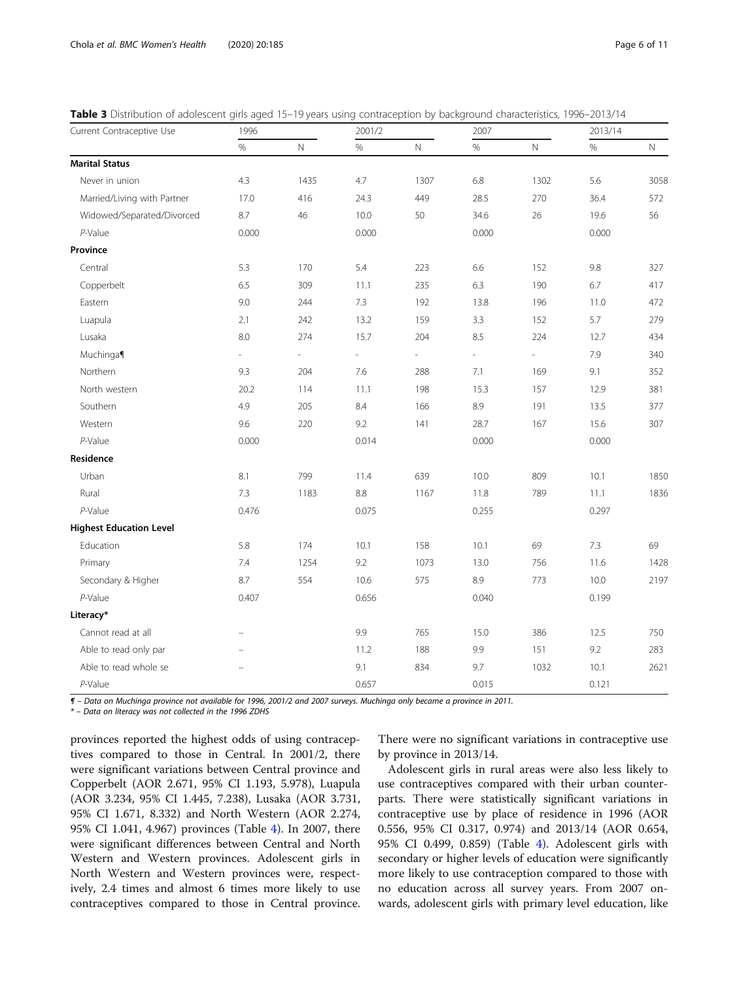| Current Contraceptive Use      | 1996                     |                          | 2001/2                   |               | 2007                     |               | 2013/14 |      |
|--------------------------------|--------------------------|--------------------------|--------------------------|---------------|--------------------------|---------------|---------|------|
|                                | $\%$                     | $\overline{N}$           | $\%$                     | $\mathsf{N}$  | $\%$                     | N             | $\%$    | N    |
| <b>Marital Status</b>          |                          |                          |                          |               |                          |               |         |      |
| Never in union                 | 4.3                      | 1435                     | 4.7                      | 1307          | 6.8                      | 1302          | 5.6     | 3058 |
| Married/Living with Partner    | 17.0                     | 416                      | 24.3                     | 449           | 28.5                     | 270           | 36.4    | 572  |
| Widowed/Separated/Divorced     | 8.7                      | 46                       | 10.0                     | 50            | 34.6                     | 26            | 19.6    | 56   |
| P-Value                        | 0.000                    |                          | 0.000                    |               |                          |               | 0.000   |      |
| Province                       |                          |                          |                          |               |                          |               |         |      |
| Central                        | 5.3                      | 170                      | 5.4                      | 223           | 6.6                      | 152           | 9.8     | 327  |
| Copperbelt                     | 6.5                      | 309                      | 11.1                     | 235           | 6.3                      | 190           | 6.7     | 417  |
| Eastern                        | 9.0                      | 244                      | 7.3                      | 192           | 13.8                     | 196           | 11.0    | 472  |
| Luapula                        | 2.1                      | 242                      | 13.2                     | 159           | 3.3                      | 152           | 5.7     | 279  |
| Lusaka                         | 8.0                      | 274                      | 15.7                     | 204           | 8.5                      | 224           | 12.7    | 434  |
| Muchinga¶                      | $\overline{\phantom{0}}$ | $\overline{\phantom{a}}$ | $\overline{\phantom{a}}$ | $\frac{1}{2}$ | $\overline{\phantom{a}}$ | $\frac{1}{2}$ | 7.9     | 340  |
| Northern                       | 9.3                      | 204                      | 7.6                      | 288           | 7.1                      | 169           | 9.1     | 352  |
| North western                  | 20.2                     | 114                      | 11.1                     | 198           | 15.3                     | 157           | 12.9    | 381  |
| Southern                       | 4.9                      | 205                      | 8.4                      | 166           | 8.9                      | 191           | 13.5    | 377  |
| Western                        | 9.6                      | 220                      | 9.2                      | 141           | 28.7                     | 167           | 15.6    | 307  |
| P-Value                        | 0.000                    |                          | 0.014                    |               |                          | 0.000         |         |      |
| Residence                      |                          |                          |                          |               |                          |               |         |      |
| Urban                          | 8.1                      | 799                      | 11.4                     | 639           | 10.0                     | 809           | 10.1    | 1850 |
| Rural                          | 7.3                      | 1183                     | 8.8                      | 1167          | 11.8                     | 789           | 11.1    | 1836 |
| P-Value                        | 0.476                    |                          | 0.075                    |               | 0.255                    |               | 0.297   |      |
| <b>Highest Education Level</b> |                          |                          |                          |               |                          |               |         |      |
| Education                      | 5.8                      | 174                      | 10.1                     | 158           | 10.1                     | 69            | 7.3     | 69   |
| Primary                        | 7.4                      | 1254                     | 9.2                      | 1073          | 13.0                     | 756           | 11.6    | 1428 |
| Secondary & Higher             | $8.7\,$                  | 554                      | 10.6                     | 575           | 8.9                      | 773           | 10.0    | 2197 |
| P-Value                        | 0.407                    |                          | 0.656                    |               | 0.040                    |               | 0.199   |      |
| Literacy*                      |                          |                          |                          |               |                          |               |         |      |
| Cannot read at all             |                          |                          | 9.9                      | 765           | 15.0                     | 386           | 12.5    | 750  |
| Able to read only par          |                          |                          | 11.2                     | 188           | 9.9                      | 151           | 9.2     | 283  |
| Able to read whole se          |                          |                          | 9.1                      | 834           | 9.7                      | 1032          | 10.1    | 2621 |
| P-Value                        |                          |                          | 0.657                    |               | 0.015                    |               | 0.121   |      |

<span id="page-5-0"></span>

¶ – Data on Muchinga province not available for 1996, 2001/2 and 2007 surveys. Muchinga only became a province in 2011.

\* – Data on literacy was not collected in the 1996 ZDHS

provinces reported the highest odds of using contraceptives compared to those in Central. In 2001/2, there were significant variations between Central province and Copperbelt (AOR 2.671, 95% CI 1.193, 5.978), Luapula (AOR 3.234, 95% CI 1.445, 7.238), Lusaka (AOR 3.731, 95% CI 1.671, 8.332) and North Western (AOR 2.274, 95% CI 1.041, 4.967) provinces (Table [4](#page-7-0)). In 2007, there were significant differences between Central and North Western and Western provinces. Adolescent girls in North Western and Western provinces were, respectively, 2.4 times and almost 6 times more likely to use contraceptives compared to those in Central province.

There were no significant variations in contraceptive use by province in 2013/14.

Adolescent girls in rural areas were also less likely to use contraceptives compared with their urban counterparts. There were statistically significant variations in contraceptive use by place of residence in 1996 (AOR 0.556, 95% CI 0.317, 0.974) and 2013/14 (AOR 0.654, 95% CI 0.499, 0.859) (Table [4](#page-7-0)). Adolescent girls with secondary or higher levels of education were significantly more likely to use contraception compared to those with no education across all survey years. From 2007 onwards, adolescent girls with primary level education, like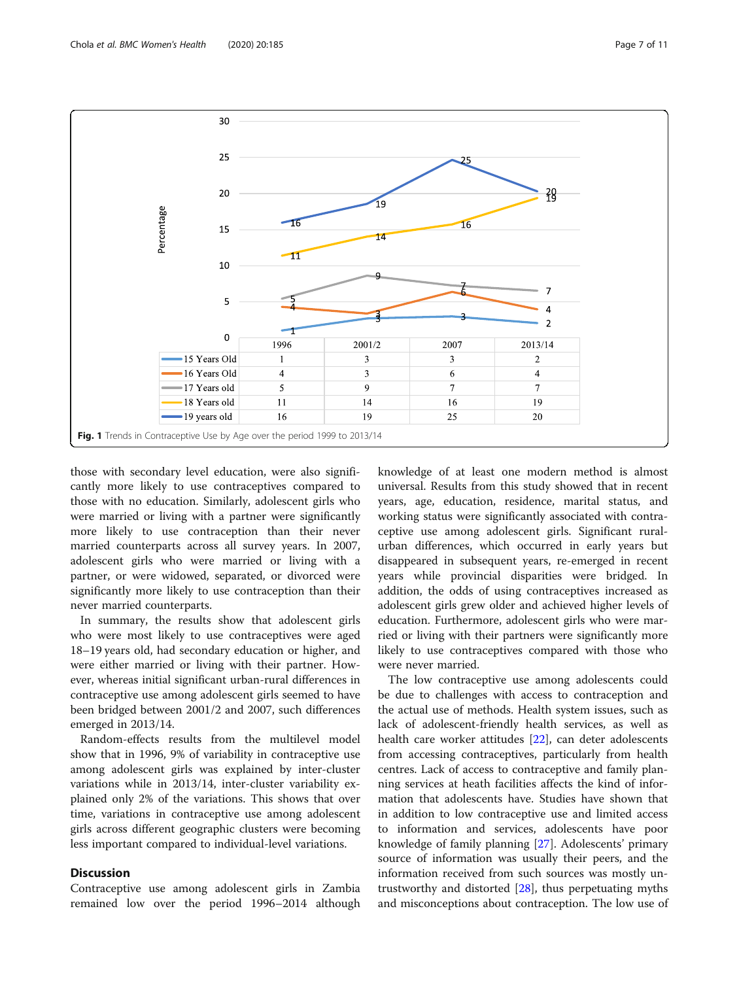<span id="page-6-0"></span>

those with secondary level education, were also significantly more likely to use contraceptives compared to those with no education. Similarly, adolescent girls who were married or living with a partner were significantly more likely to use contraception than their never married counterparts across all survey years. In 2007, adolescent girls who were married or living with a partner, or were widowed, separated, or divorced were significantly more likely to use contraception than their never married counterparts.

In summary, the results show that adolescent girls who were most likely to use contraceptives were aged 18–19 years old, had secondary education or higher, and were either married or living with their partner. However, whereas initial significant urban-rural differences in contraceptive use among adolescent girls seemed to have been bridged between 2001/2 and 2007, such differences emerged in 2013/14.

Random-effects results from the multilevel model show that in 1996, 9% of variability in contraceptive use among adolescent girls was explained by inter-cluster variations while in 2013/14, inter-cluster variability explained only 2% of the variations. This shows that over time, variations in contraceptive use among adolescent girls across different geographic clusters were becoming less important compared to individual-level variations.

# **Discussion**

Contraceptive use among adolescent girls in Zambia remained low over the period 1996–2014 although

knowledge of at least one modern method is almost universal. Results from this study showed that in recent years, age, education, residence, marital status, and working status were significantly associated with contraceptive use among adolescent girls. Significant ruralurban differences, which occurred in early years but disappeared in subsequent years, re-emerged in recent years while provincial disparities were bridged. In addition, the odds of using contraceptives increased as adolescent girls grew older and achieved higher levels of education. Furthermore, adolescent girls who were married or living with their partners were significantly more likely to use contraceptives compared with those who were never married.

The low contraceptive use among adolescents could be due to challenges with access to contraception and the actual use of methods. Health system issues, such as lack of adolescent-friendly health services, as well as health care worker attitudes [[22\]](#page-10-0), can deter adolescents from accessing contraceptives, particularly from health centres. Lack of access to contraceptive and family planning services at heath facilities affects the kind of information that adolescents have. Studies have shown that in addition to low contraceptive use and limited access to information and services, adolescents have poor knowledge of family planning [\[27](#page-10-0)]. Adolescents' primary source of information was usually their peers, and the information received from such sources was mostly untrustworthy and distorted [\[28\]](#page-10-0), thus perpetuating myths and misconceptions about contraception. The low use of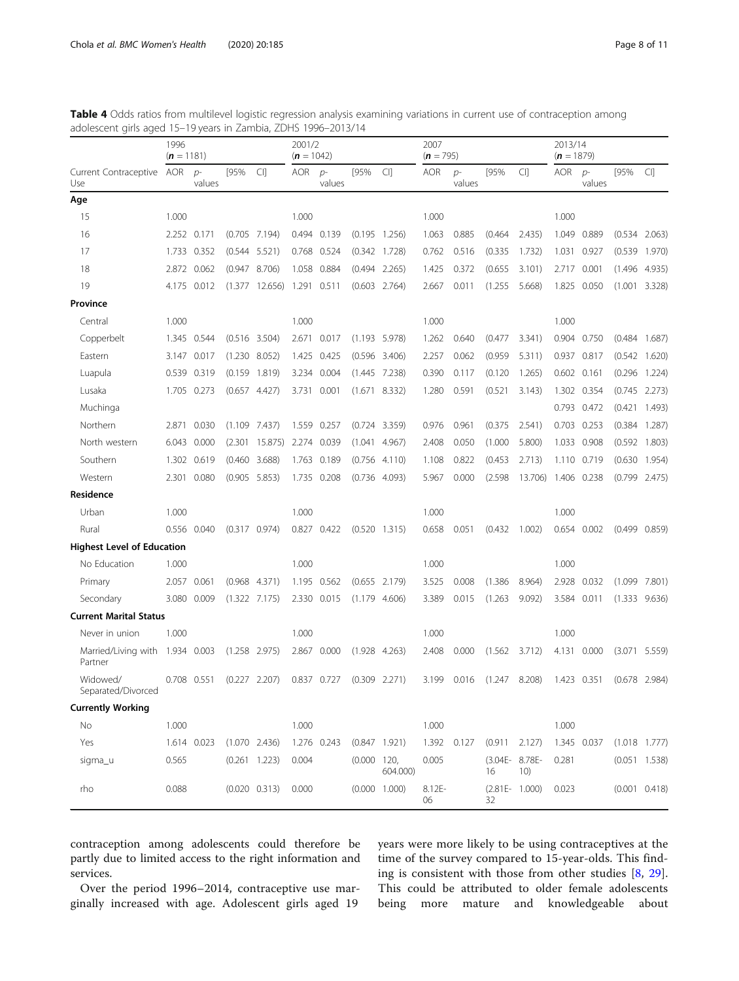|                                            | 1996<br>$(n = 1181)$ |                |         | 2001/2<br>$(n = 1042)$ |             |             |             | 2007<br>$(n = 795)$   |              |                | 2013/14<br>$(n = 1879)$ |                       |       |                |         |                       |
|--------------------------------------------|----------------------|----------------|---------|------------------------|-------------|-------------|-------------|-----------------------|--------------|----------------|-------------------------|-----------------------|-------|----------------|---------|-----------------------|
| Current Contraceptive AOR<br>Use           |                      | $p-$<br>values | [95%    | CI                     | $AOR$ $p-$  | values      | [95%        | CI]                   | AOR          | $p-$<br>values | [95%                    | CI]                   | AOR   | $p-$<br>values | [95%    | CI]                   |
| Age                                        |                      |                |         |                        |             |             |             |                       |              |                |                         |                       |       |                |         |                       |
| 15                                         | 1.000                |                |         |                        | 1.000       |             |             |                       | 1.000        |                |                         |                       | 1.000 |                |         |                       |
| 16                                         |                      | 2.252 0.171    |         | $(0.705 \quad 7.194)$  |             | 0.494 0.139 |             | $(0.195 \quad 1.256)$ | 1.063        | 0.885          | (0.464)                 | 2.435                 | 1.049 | 0.889          |         | $(0.534 \quad 2.063)$ |
| 17                                         |                      | 1.733 0.352    | (0.544) | 5.521)                 |             | 0.768 0.524 |             | $(0.342 \quad 1.728)$ | 0.762        | 0.516          | (0.335)                 | 1.732)                | 1.031 | 0.927          | (0.539) | 1.970)                |
| 18                                         |                      | 2.872 0.062    |         | (0.947 8.706)          |             | 1.058 0.884 |             | $(0.494 \quad 2.265)$ | 1.425        | 0.372          | (0.655)                 | 3.101)                |       | 2.717 0.001    |         | $(1.496$ 4.935)       |
| 19                                         |                      | 4.175 0.012    |         | $(1.377 \quad 12.656)$ | 1.291 0.511 |             |             | $(0.603 \quad 2.764)$ | 2.667        | 0.011          | (1.255)                 | 5.668)                | 1.825 | 0.050          |         | $(1.001 \quad 3.328)$ |
| Province                                   |                      |                |         |                        |             |             |             |                       |              |                |                         |                       |       |                |         |                       |
| Central                                    | 1.000                |                |         |                        | 1.000       |             |             |                       | 1.000        |                |                         |                       | 1.000 |                |         |                       |
| Copperbelt                                 |                      | 1.345 0.544    |         | $(0.516 \quad 3.504)$  |             | 2.671 0.017 |             | $(1.193 \t 5.978)$    | 1.262        | 0.640          | (0.477)                 | 3.341)                |       | 0.904 0.750    |         | $(0.484$ 1.687)       |
| Eastern                                    |                      | 3.147 0.017    |         | $(1.230 \t 8.052)$     |             | 1.425 0.425 |             | $(0.596 \quad 3.406)$ | 2.257        | 0.062          | (0.959)                 | 5.311)                | 0.937 | 0.817          | (0.542) | 1.620                 |
| Luapula                                    |                      | 0.539 0.319    |         | (0.159 1.819)          |             | 3.234 0.004 |             | $(1.445 \t 7.238)$    | 0.390        | 0.117          | (0.120)                 | 1.265)                |       | 0.602 0.161    |         | $(0.296 \t1.224)$     |
| Lusaka                                     |                      | 1.705 0.273    |         | (0.657 4.427)          |             | 3.731 0.001 |             | $(1.671 \quad 8.332)$ | 1.280        | 0.591          | (0.521)                 | 3.143                 |       | 1.302 0.354    |         | $(0.745 \quad 2.273)$ |
| Muchinga                                   |                      |                |         |                        |             |             |             |                       |              |                |                         |                       |       | 0.793 0.472    |         | $(0.421 \quad 1.493)$ |
| Northern                                   | 2.871                | 0.030          |         | (1.1097.437)           |             | 1.559 0.257 |             | $(0.724 \quad 3.359)$ | 0.976        | 0.961          | (0.375)                 | 2.541)                |       | 0.703 0.253    |         | (0.384 1.287)         |
| North western                              |                      | 6.043 0.000    | (2.301) | 15.875)                |             | 2.274 0.039 |             | $(1.041$ 4.967)       | 2.408        | 0.050          | (1.000)                 | 5.800)                |       | 1.033 0.908    |         | $(0.592 \quad 1.803)$ |
| Southern                                   |                      | 1.302 0.619    | (0.460) | 3.688)                 |             | 1.763 0.189 |             | $(0.756$ 4.110)       | 1.108        | 0.822          | (0.453)                 | 2.713)                | 1.110 | 0.719          | (0.630) | 1.954)                |
| Western                                    |                      | 2.301 0.080    |         | (0.905 5.853)          |             | 1.735 0.208 |             | $(0.736$ 4.093)       | 5.967        | 0.000          | (2.598)                 | 13.706)               |       | 1.406 0.238    |         | (0.799 2.475)         |
| Residence                                  |                      |                |         |                        |             |             |             |                       |              |                |                         |                       |       |                |         |                       |
| Urban                                      | 1.000                |                |         |                        | 1.000       |             |             |                       | 1.000        |                |                         |                       | 1.000 |                |         |                       |
| Rural                                      |                      | 0.556 0.040    |         | $(0.317 \ 0.974)$      |             | 0.827 0.422 |             | $(0.520 \t1.315)$     | 0.658        | 0.051          | (0.432)                 | 1.002)                |       | 0.654 0.002    |         | $(0.499 \quad 0.859)$ |
| <b>Highest Level of Education</b>          |                      |                |         |                        |             |             |             |                       |              |                |                         |                       |       |                |         |                       |
| No Education                               | 1.000                |                |         |                        | 1.000       |             |             |                       | 1.000        |                |                         |                       | 1.000 |                |         |                       |
| Primary                                    |                      | 2.057 0.061    |         | $(0.968$ 4.371)        |             | 1.195 0.562 |             | $(0.655 \quad 2.179)$ | 3.525        | 0.008          | (1.386)                 | 8.964)                | 2.928 | 0.032          |         | (1.0997.801)          |
| Secondary                                  |                      | 3.080 0.009    |         | $(1.322 \t 7.175)$     |             | 2.330 0.015 |             | $(1.179$ 4.606)       | 3.389        | 0.015          | (1.263)                 | 9.092                 |       | 3.584 0.011    |         | $(1.333 \quad 9.636)$ |
| <b>Current Marital Status</b>              |                      |                |         |                        |             |             |             |                       |              |                |                         |                       |       |                |         |                       |
| Never in union                             | 1.000                |                |         |                        | 1.000       |             |             |                       | 1.000        |                |                         |                       | 1.000 |                |         |                       |
| Married/Living with 1.934 0.003<br>Partner |                      |                |         | $(1.258 \quad 2.975)$  |             | 2.867 0.000 |             | $(1.928 \quad 4.263)$ | 2.408        | 0.000          | (1.562)                 | 3.712                 | 4.131 | 0.000          |         | $(3.071 \quad 5.559)$ |
| Widowed/<br>Separated/Divorced             |                      | 0.708 0.551    |         | (0.227 2.207)          |             | 0.837 0.727 |             | (0.309 2.271)         | 3.199        | 0.016          | (1.247 8.208)           |                       |       | 1.423 0.351    |         | $(0.678 \quad 2.984)$ |
| <b>Currently Working</b>                   |                      |                |         |                        |             |             |             |                       |              |                |                         |                       |       |                |         |                       |
| No                                         | 1.000                |                |         |                        | 1.000       |             |             |                       | 1.000        |                |                         |                       | 1.000 |                |         |                       |
| Yes                                        |                      | 1.614 0.023    |         | $(1.070 \quad 2.436)$  |             | 1.276 0.243 |             | $(0.847 \quad 1.921)$ | 1.392        | 0.127          |                         | $(0.911 \quad 2.127)$ |       | 1.345 0.037    |         | $(1.018 \t1.777)$     |
| sigma_u                                    | 0.565                |                |         | $(0.261 \t 1.223)$     | 0.004       |             | (0.000 120, | 604.000)              | 0.005        |                | 16                      | (3.04E- 8.78E-<br>10) | 0.281 |                |         | $(0.051 \t 1.538)$    |
| rho                                        | 0.088                |                |         | $(0.020 \t 0.313)$     | 0.000       |             |             | $(0.000 \quad 1.000)$ | 8.12E-<br>06 |                | 32                      | $(2.81E- 1.000)$      | 0.023 |                |         | $(0.001 \ 0.418)$     |

<span id="page-7-0"></span>Table 4 Odds ratios from multilevel logistic regression analysis examining variations in current use of contraception among adolescent girls aged 15–19 years in Zambia, ZDHS 1996–2013/14

contraception among adolescents could therefore be partly due to limited access to the right information and services.

Over the period 1996–2014, contraceptive use marginally increased with age. Adolescent girls aged 19

years were more likely to be using contraceptives at the time of the survey compared to 15-year-olds. This finding is consistent with those from other studies [[8](#page-9-0), [29](#page-10-0)]. This could be attributed to older female adolescents being more mature and knowledgeable about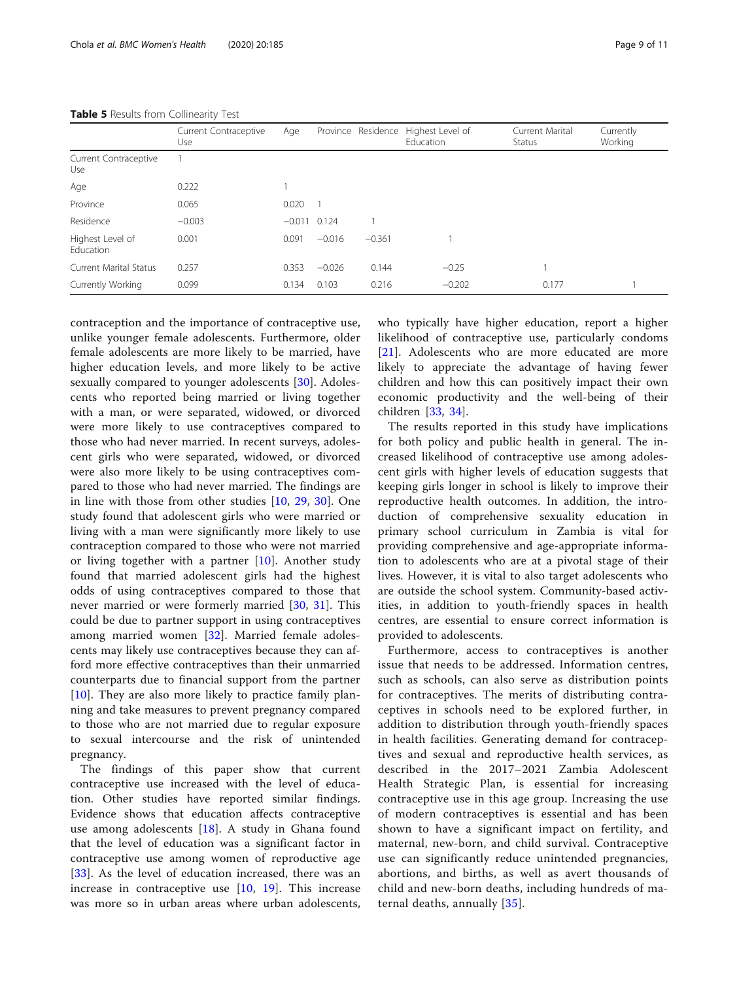|                               | Current Contraceptive<br>Use | Age      |          | Province Residence | Highest Level of<br>Education | Current Marital<br>Status | Currently<br>Working |
|-------------------------------|------------------------------|----------|----------|--------------------|-------------------------------|---------------------------|----------------------|
| Current Contraceptive<br>Use  |                              |          |          |                    |                               |                           |                      |
| Age                           | 0.222                        |          |          |                    |                               |                           |                      |
| Province                      | 0.065                        | 0.020    |          |                    |                               |                           |                      |
| Residence                     | $-0.003$                     | $-0.011$ | 0.124    |                    |                               |                           |                      |
| Highest Level of<br>Education | 0.001                        | 0.091    | $-0.016$ | $-0.361$           |                               |                           |                      |
| <b>Current Marital Status</b> | 0.257                        | 0.353    | $-0.026$ | 0.144              | $-0.25$                       |                           |                      |
| Currently Working             | 0.099                        | 0.134    | 0.103    | 0.216              | $-0.202$                      | 0.177                     |                      |

<span id="page-8-0"></span>Table 5 Results from Collinearity Test

contraception and the importance of contraceptive use, unlike younger female adolescents. Furthermore, older female adolescents are more likely to be married, have higher education levels, and more likely to be active sexually compared to younger adolescents [[30\]](#page-10-0). Adolescents who reported being married or living together with a man, or were separated, widowed, or divorced were more likely to use contraceptives compared to those who had never married. In recent surveys, adolescent girls who were separated, widowed, or divorced were also more likely to be using contraceptives compared to those who had never married. The findings are in line with those from other studies [[10,](#page-9-0) [29,](#page-10-0) [30\]](#page-10-0). One study found that adolescent girls who were married or living with a man were significantly more likely to use contraception compared to those who were not married or living together with a partner  $[10]$  $[10]$ . Another study found that married adolescent girls had the highest odds of using contraceptives compared to those that never married or were formerly married [\[30](#page-10-0), [31\]](#page-10-0). This could be due to partner support in using contraceptives among married women [[32\]](#page-10-0). Married female adolescents may likely use contraceptives because they can afford more effective contraceptives than their unmarried counterparts due to financial support from the partner  $[10]$  $[10]$ . They are also more likely to practice family planning and take measures to prevent pregnancy compared to those who are not married due to regular exposure to sexual intercourse and the risk of unintended pregnancy.

The findings of this paper show that current contraceptive use increased with the level of education. Other studies have reported similar findings. Evidence shows that education affects contraceptive use among adolescents  $[18]$  $[18]$ . A study in Ghana found that the level of education was a significant factor in contraceptive use among women of reproductive age [[33\]](#page-10-0). As the level of education increased, there was an increase in contraceptive use  $[10, 19]$  $[10, 19]$  $[10, 19]$  $[10, 19]$ . This increase was more so in urban areas where urban adolescents, who typically have higher education, report a higher likelihood of contraceptive use, particularly condoms [[21\]](#page-10-0). Adolescents who are more educated are more likely to appreciate the advantage of having fewer children and how this can positively impact their own economic productivity and the well-being of their children [\[33](#page-10-0), [34](#page-10-0)].

The results reported in this study have implications for both policy and public health in general. The increased likelihood of contraceptive use among adolescent girls with higher levels of education suggests that keeping girls longer in school is likely to improve their reproductive health outcomes. In addition, the introduction of comprehensive sexuality education in primary school curriculum in Zambia is vital for providing comprehensive and age-appropriate information to adolescents who are at a pivotal stage of their lives. However, it is vital to also target adolescents who are outside the school system. Community-based activities, in addition to youth-friendly spaces in health centres, are essential to ensure correct information is provided to adolescents.

Furthermore, access to contraceptives is another issue that needs to be addressed. Information centres, such as schools, can also serve as distribution points for contraceptives. The merits of distributing contraceptives in schools need to be explored further, in addition to distribution through youth-friendly spaces in health facilities. Generating demand for contraceptives and sexual and reproductive health services, as described in the 2017–2021 Zambia Adolescent Health Strategic Plan, is essential for increasing contraceptive use in this age group. Increasing the use of modern contraceptives is essential and has been shown to have a significant impact on fertility, and maternal, new-born, and child survival. Contraceptive use can significantly reduce unintended pregnancies, abortions, and births, as well as avert thousands of child and new-born deaths, including hundreds of maternal deaths, annually [\[35\]](#page-10-0).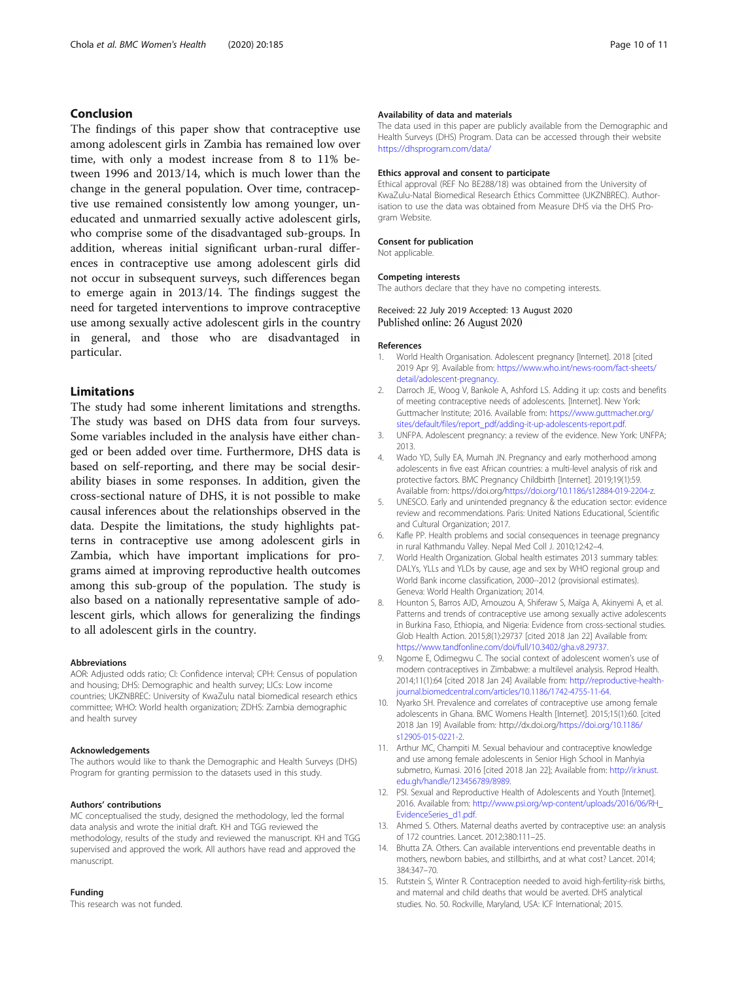# <span id="page-9-0"></span>Conclusion

The findings of this paper show that contraceptive use among adolescent girls in Zambia has remained low over time, with only a modest increase from 8 to 11% between 1996 and 2013/14, which is much lower than the change in the general population. Over time, contraceptive use remained consistently low among younger, uneducated and unmarried sexually active adolescent girls, who comprise some of the disadvantaged sub-groups. In addition, whereas initial significant urban-rural differences in contraceptive use among adolescent girls did not occur in subsequent surveys, such differences began to emerge again in 2013/14. The findings suggest the need for targeted interventions to improve contraceptive use among sexually active adolescent girls in the country in general, and those who are disadvantaged in particular.

# Limitations

The study had some inherent limitations and strengths. The study was based on DHS data from four surveys. Some variables included in the analysis have either changed or been added over time. Furthermore, DHS data is based on self-reporting, and there may be social desirability biases in some responses. In addition, given the cross-sectional nature of DHS, it is not possible to make causal inferences about the relationships observed in the data. Despite the limitations, the study highlights patterns in contraceptive use among adolescent girls in Zambia, which have important implications for programs aimed at improving reproductive health outcomes among this sub-group of the population. The study is also based on a nationally representative sample of adolescent girls, which allows for generalizing the findings to all adolescent girls in the country.

## Abbreviations

AOR: Adjusted odds ratio; CI: Confidence interval; CPH: Census of population and housing; DHS: Demographic and health survey; LICs: Low income countries; UKZNBREC: University of KwaZulu natal biomedical research ethics committee; WHO: World health organization; ZDHS: Zambia demographic and health survey

#### Acknowledgements

The authors would like to thank the Demographic and Health Surveys (DHS) Program for granting permission to the datasets used in this study.

## Authors' contributions

MC conceptualised the study, designed the methodology, led the formal data analysis and wrote the initial draft. KH and TGG reviewed the methodology, results of the study and reviewed the manuscript. KH and TGG supervised and approved the work. All authors have read and approved the manuscript.

#### Funding

This research was not funded.

# Availability of data and materials

The data used in this paper are publicly available from the Demographic and Health Surveys (DHS) Program. Data can be accessed through their website <https://dhsprogram.com/data/>

#### Ethics approval and consent to participate

Ethical approval (REF No BE288/18) was obtained from the University of KwaZulu-Natal Biomedical Research Ethics Committee (UKZNBREC). Authorisation to use the data was obtained from Measure DHS via the DHS Program Website.

# Consent for publication

Not applicable.

#### Competing interests

The authors declare that they have no competing interests.

# Received: 22 July 2019 Accepted: 13 August 2020 Published online: 26 August 2020

#### References

- 1. World Health Organisation. Adolescent pregnancy [Internet]. 2018 [cited 2019 Apr 9]. Available from: [https://www.who.int/news-room/fact-sheets/](https://www.who.int/news-room/fact-sheets/detail/adolescent-pregnancy) [detail/adolescent-pregnancy.](https://www.who.int/news-room/fact-sheets/detail/adolescent-pregnancy)
- 2. Darroch JE, Woog V, Bankole A, Ashford LS. Adding it up: costs and benefits of meeting contraceptive needs of adolescents. [Internet]. New York: Guttmacher Institute; 2016. Available from: [https://www.guttmacher.org/](https://www.guttmacher.org/sites/default/files/report_pdf/adding-it-up-adolescents-report.pdf) [sites/default/files/report\\_pdf/adding-it-up-adolescents-report.pdf.](https://www.guttmacher.org/sites/default/files/report_pdf/adding-it-up-adolescents-report.pdf)
- 3. UNFPA. Adolescent pregnancy: a review of the evidence. New York: UNFPA; 2013.
- 4. Wado YD, Sully EA, Mumah JN. Pregnancy and early motherhood among adolescents in five east African countries: a multi-level analysis of risk and protective factors. BMC Pregnancy Childbirth [Internet]. 2019;19(1):59. Available from: https://doi.org[/https://doi.org/10.1186/s12884-019-2204-z](https://doi.org/10.1186/s12884-019-2204-z).
- 5. UNESCO. Early and unintended pregnancy & the education sector: evidence review and recommendations. Paris: United Nations Educational, Scientific and Cultural Organization; 2017.
- 6. Kafle PP. Health problems and social consequences in teenage pregnancy in rural Kathmandu Valley. Nepal Med Coll J. 2010;12:42–4.
- 7. World Health Organization. Global health estimates 2013 summary tables: DALYs, YLLs and YLDs by cause, age and sex by WHO regional group and World Bank income classification, 2000--2012 (provisional estimates). Geneva: World Health Organization; 2014.
- 8. Hounton S, Barros AJD, Amouzou A, Shiferaw S, Maïga A, Akinyemi A, et al. Patterns and trends of contraceptive use among sexually active adolescents in Burkina Faso, Ethiopia, and Nigeria: Evidence from cross-sectional studies. Glob Health Action. 2015;8(1):29737 [cited 2018 Jan 22] Available from: <https://www.tandfonline.com/doi/full/10.3402/gha.v8.29737>.
- 9. Ngome E, Odimegwu C. The social context of adolescent women's use of modern contraceptives in Zimbabwe: a multilevel analysis. Reprod Health. 2014;11(1):64 [cited 2018 Jan 24] Available from: [http://reproductive-health](http://reproductive-health-journal.biomedcentral.com/articles/10.1186/1742-4755-11-64)[journal.biomedcentral.com/articles/10.1186/1742-4755-11-64](http://reproductive-health-journal.biomedcentral.com/articles/10.1186/1742-4755-11-64).
- 10. Nyarko SH. Prevalence and correlates of contraceptive use among female adolescents in Ghana. BMC Womens Health [Internet]. 2015;15(1):60. [cited 2018 Jan 19] Available from: http://dx.doi.org/[https://doi.org/10.1186/](https://doi.org/10.1186/s12905-015-0221-2) [s12905-015-0221-2.](https://doi.org/10.1186/s12905-015-0221-2)
- 11. Arthur MC, Champiti M. Sexual behaviour and contraceptive knowledge and use among female adolescents in Senior High School in Manhyia submetro, Kumasi. 2016 [cited 2018 Jan 22]; Available from: [http://ir.knust.](http://ir.knust.edu.gh/handle/123456789/8989) [edu.gh/handle/123456789/8989.](http://ir.knust.edu.gh/handle/123456789/8989)
- 12. PSI. Sexual and Reproductive Health of Adolescents and Youth [Internet]. 2016. Available from: [http://www.psi.org/wp-content/uploads/2016/06/RH\\_](http://www.psi.org/wp-content/uploads/2016/06/RH_EvidenceSeries_d1.pdf) [EvidenceSeries\\_d1.pdf](http://www.psi.org/wp-content/uploads/2016/06/RH_EvidenceSeries_d1.pdf).
- 13. Ahmed S. Others. Maternal deaths averted by contraceptive use: an analysis of 172 countries. Lancet. 2012;380:111–25.
- 14. Bhutta ZA. Others. Can available interventions end preventable deaths in mothers, newborn babies, and stillbirths, and at what cost? Lancet. 2014; 384:347–70.
- 15. Rutstein S, Winter R. Contraception needed to avoid high-fertility-risk births, and maternal and child deaths that would be averted. DHS analytical studies. No. 50. Rockville, Maryland, USA: ICF International; 2015.